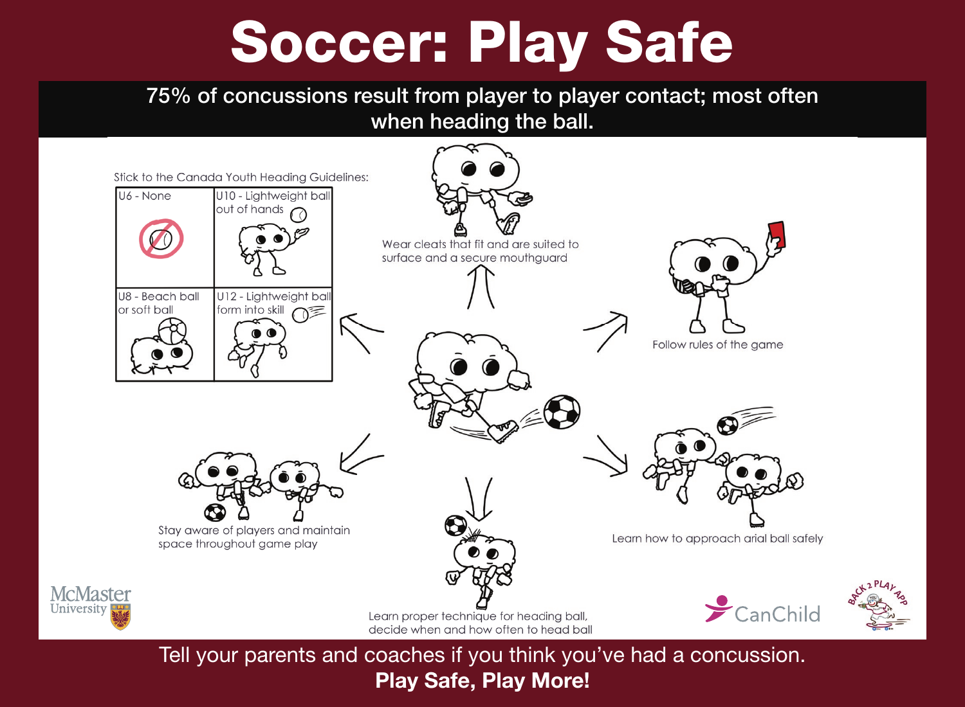# Soccer: Play Safe

## 75% of concussions result from player to player contact; most often when heading the ball.



Play Safe, Play More!